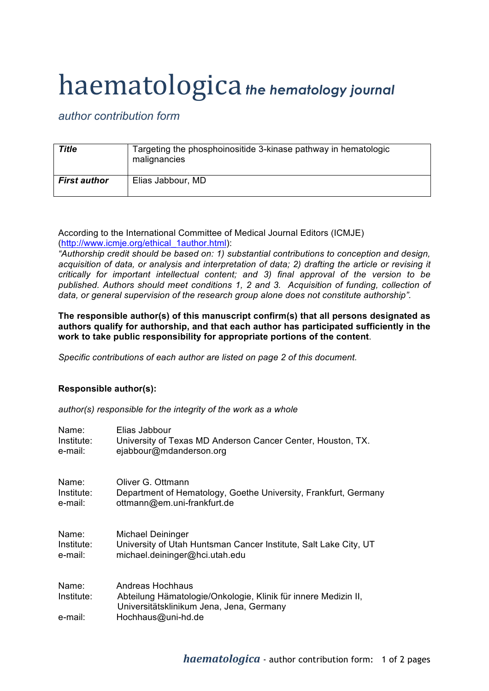## haematologica *the hematology journal*

*author contribution form*

| <b>Title</b>        | Targeting the phosphoinositide 3-kinase pathway in hematologic<br>malignancies |
|---------------------|--------------------------------------------------------------------------------|
| <b>First author</b> | Elias Jabbour, MD                                                              |

According to the International Committee of Medical Journal Editors (ICMJE) (http://www.icmje.org/ethical\_1author.html):

*"Authorship credit should be based on: 1) substantial contributions to conception and design, acquisition of data, or analysis and interpretation of data; 2) drafting the article or revising it critically for important intellectual content; and 3) final approval of the version to be published. Authors should meet conditions 1, 2 and 3. Acquisition of funding, collection of data, or general supervision of the research group alone does not constitute authorship".*

**The responsible author(s) of this manuscript confirm(s) that all persons designated as authors qualify for authorship, and that each author has participated sufficiently in the work to take public responsibility for appropriate portions of the content**.

*Specific contributions of each author are listed on page 2 of this document.*

## **Responsible author(s):**

*author(s) responsible for the integrity of the work as a whole*

| Name:                          | Elias Jabbour                                                                                                                                        |
|--------------------------------|------------------------------------------------------------------------------------------------------------------------------------------------------|
| Institute:                     | University of Texas MD Anderson Cancer Center, Houston, TX.                                                                                          |
| e-mail:                        | ejabbour@mdanderson.org                                                                                                                              |
| Name:                          | Oliver G. Ottmann                                                                                                                                    |
| Institute:                     | Department of Hematology, Goethe University, Frankfurt, Germany                                                                                      |
| e-mail:                        | ottmann@em.uni-frankfurt.de                                                                                                                          |
| Name:                          | <b>Michael Deininger</b>                                                                                                                             |
| Institute:                     | University of Utah Huntsman Cancer Institute, Salt Lake City, UT                                                                                     |
| e-mail:                        | michael.deininger@hci.utah.edu                                                                                                                       |
| Name:<br>Institute:<br>e-mail: | Andreas Hochhaus<br>Abteilung Hämatologie/Onkologie, Klinik für innere Medizin II,<br>Universitätsklinikum Jena, Jena, Germany<br>Hochhaus@uni-hd.de |